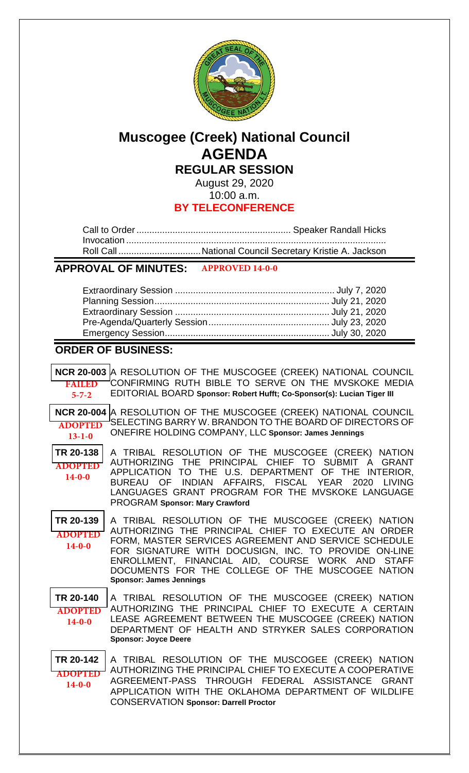

# **Muscogee (Creek) National Council AGENDA REGULAR SESSION**

August 29, 2020 10:00 a.m.

## **BY TELECONFERENCE**

# **APPROVAL OF MINUTES: APPROVED 14-0-0**

## **ORDER OF BUSINESS:**

| <b>FAILED</b><br>$5 - 7 - 2$                | NCR 20-003 A RESOLUTION OF THE MUSCOGEE (CREEK) NATIONAL COUNCIL<br>CONFIRMING RUTH BIBLE TO SERVE ON THE MVSKOKE MEDIA<br>EDITORIAL BOARD Sponsor: Robert Hufft; Co-Sponsor(s): Lucian Tiger III                                                                                                                                                                   |
|---------------------------------------------|---------------------------------------------------------------------------------------------------------------------------------------------------------------------------------------------------------------------------------------------------------------------------------------------------------------------------------------------------------------------|
| <b>ADOPTED</b><br>$13 - 1 - 0$              | NCR 20-004 A RESOLUTION OF THE MUSCOGEE (CREEK) NATIONAL COUNCIL<br>SELECTING BARRY W. BRANDON TO THE BOARD OF DIRECTORS OF<br>ONEFIRE HOLDING COMPANY, LLC Sponsor: James Jennings                                                                                                                                                                                 |
| TR 20-138<br><b>ADOPTED</b><br>$14 - 0 - 0$ | A TRIBAL RESOLUTION OF THE MUSCOGEE (CREEK) NATION<br>AUTHORIZING THE PRINCIPAL CHIEF TO SUBMIT A GRANT<br>APPLICATION TO THE U.S. DEPARTMENT OF THE INTERIOR,<br>BUREAU OF INDIAN AFFAIRS, FISCAL YEAR 2020 LIVING<br>LANGUAGES GRANT PROGRAM FOR THE MVSKOKE LANGUAGE<br><b>PROGRAM Sponsor: Mary Crawford</b>                                                    |
| TR 20-139<br><b>ADOPTED</b><br>$14-0-0$     | A TRIBAL RESOLUTION OF THE MUSCOGEE (CREEK) NATION<br>AUTHORIZING THE PRINCIPAL CHIEF TO EXECUTE AN ORDER<br>FORM, MASTER SERVICES AGREEMENT AND SERVICE SCHEDULE<br>FOR SIGNATURE WITH DOCUSIGN, INC. TO PROVIDE ON-LINE<br>ENROLLMENT, FINANCIAL AID, COURSE WORK AND STAFF<br>DOCUMENTS FOR THE COLLEGE OF THE MUSCOGEE NATION<br><b>Sponsor: James Jennings</b> |
| TR 20-140<br><b>ADOPTED</b><br>$14-0-0$     | A TRIBAL RESOLUTION OF THE MUSCOGEE (CREEK) NATION<br>AUTHORIZING THE PRINCIPAL CHIEF TO EXECUTE A CERTAIN<br>LEASE AGREEMENT BETWEEN THE MUSCOGEE (CREEK) NATION<br>DEPARTMENT OF HEALTH AND STRYKER SALES CORPORATION<br><b>Sponsor: Joyce Deere</b>                                                                                                              |
| TR 20-142<br><b>ADOPTED</b><br>$14 - 0 - 0$ | A TRIBAL RESOLUTION OF THE MUSCOGEE (CREEK) NATION<br>AUTHORIZING THE PRINCIPAL CHIEF TO EXECUTE A COOPERATIVE<br>AGREEMENT-PASS THROUGH FEDERAL ASSISTANCE GRANT<br>APPLICATION WITH THE OKLAHOMA DEPARTMENT OF WILDLIFE<br><b>CONSERVATION Sponsor: Darrell Proctor</b>                                                                                           |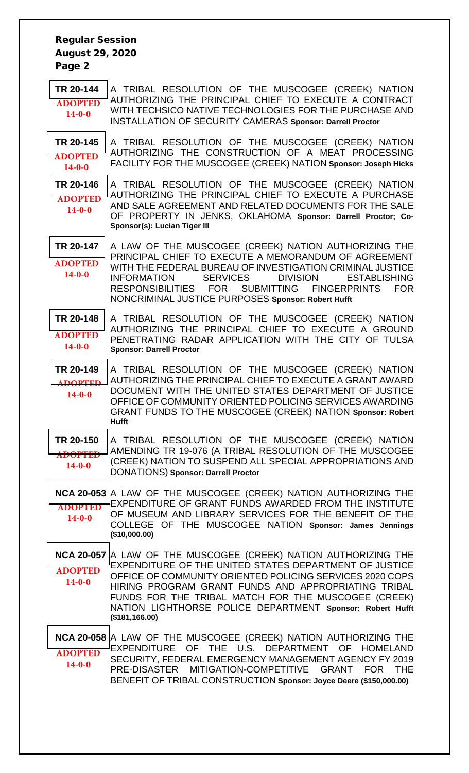Regular Session August 29, 2020 Page 2

**[TR 20-144](bills/20-144.pdf)** A TRIBAL RESOLUTION OF THE MUSCOGEE (CREEK) NATION AUTHORIZING THE PRINCIPAL CHIEF TO EXECUTE A CONTRACT WITH TECHSICO NATIVE TECHNOLOGIES FOR THE PURCHASE AND INSTALLATION OF SECURITY CAMERAS **Sponsor: Darrell Proctor ADOPTED 14-0-0**

**[TR 20-145](bills/20-145.pdf)** A TRIBAL RESOLUTION OF THE MUSCOGEE (CREEK) NATION AUTHORIZING THE CONSTRUCTION OF A MEAT PROCESSING FACILITY FOR THE MUSCOGEE (CREEK) NATION **Sponsor: Joseph Hicks ADOPTED 14-0-0**

**[TR 20-146](bills/20-146.pdf)** A TRIBAL RESOLUTION OF THE MUSCOGEE (CREEK) NATION AUTHORIZING THE PRINCIPAL CHIEF TO EXECUTE A PURCHASE AND SALE AGREEMENT AND RELATED DOCUMENTS FOR THE SALE OF PROPERTY IN JENKS, OKLAHOMA **Sponsor: Darrell Proctor; Co-Sponsor(s): Lucian Tiger III ADOPTED 14-0-0**

**[TR 20-147](bills/20-147.pdf)** A LAW OF THE MUSCOGEE (CREEK) NATION AUTHORIZING THE PRINCIPAL CHIEF TO EXECUTE A MEMORANDUM OF AGREEMENT WITH THE FEDERAL BUREAU OF INVESTIGATION CRIMINAL JUSTICE INFORMATION SERVICES DIVISION ESTABLISHING<br>RESPONSIBILITIES FOR SUBMITTING FINGERPRINTS FOR RESPONSIBILITIES FOR SUBMITTING FINGERPRINTS FOR NONCRIMINAL JUSTICE PURPOSES **Sponsor: Robert Hufft ADOPTED 14-0-0**

**[TR 20-148](bills/20-148.pdf)** A TRIBAL RESOLUTION OF THE MUSCOGEE (CREEK) NATION AUTHORIZING THE PRINCIPAL CHIEF TO EXECUTE A GROUND PENETRATING RADAR APPLICATION WITH THE CITY OF TULSA **Sponsor: Darrell Proctor ADOPTED 14-0-0**

**[TR 20-149](bills/20-149.pdf)** A TRIBAL RESOLUTION OF THE MUSCOGEE (CREEK) NATION AUTHORIZING THE PRINCIPAL CHIEF TO EXECUTE A GRANT AWARD DOCUMENT WITH THE UNITED STATES DEPARTMENT OF JUSTICE OFFICE OF COMMUNITY ORIENTED POLICING SERVICES AWARDING GRANT FUNDS TO THE MUSCOGEE (CREEK) NATION **Sponsor: Robert Hufft ADOPTED 14-0-0**

**[TR 20-150](bills/20-150.pdf)** A TRIBAL RESOLUTION OF THE MUSCOGEE (CREEK) NATION AMENDING TR 19-076 (A TRIBAL RESOLUTION OF THE MUSCOGEE (CREEK) NATION TO SUSPEND ALL SPECIAL APPROPRIATIONS AND DONATIONS) **Sponsor: Darrell Proctor ADOPTED 14-0-0**

**[NCA 20-053](bills/NCA20-053.pdf)** A LAW OF THE MUSCOGEE (CREEK) NATION AUTHORIZING THE EXPENDITURE OF GRANT FUNDS AWARDED FROM THE INSTITUTE OF MUSEUM AND LIBRARY SERVICES FOR THE BENEFIT OF THE COLLEGE OF THE MUSCOGEE NATION **Sponsor: James Jennings (\$10,000.00) ADOPTED 14-0-0**

**[NCA 20-057](bills/NCA20-057.pdf)** A LAW OF THE MUSCOGEE (CREEK) NATION AUTHORIZING THE EXPENDITURE OF THE UNITED STATES DEPARTMENT OF JUSTICE OFFICE OF COMMUNITY ORIENTED POLICING SERVICES 2020 COPS HIRING PROGRAM GRANT FUNDS AND APPROPRIATING TRIBAL FUNDS FOR THE TRIBAL MATCH FOR THE MUSCOGEE (CREEK) NATION LIGHTHORSE POLICE DEPARTMENT **Sponsor: Robert Hufft (\$181,166.00) ADOPTED 14-0-0**

**[NCA 20-058](bills/NCA20-058.pdf)** A LAW OF THE MUSCOGEE (CREEK) NATION AUTHORIZING THE EXPENDITURE OF THE U.S. DEPARTMENT OF HOMELAND SECURITY, FEDERAL EMERGENCY MANAGEMENT AGENCY FY 2019 PRE-DISASTER MITIGATION**-**COMPETITIVE GRANT FOR THE BENEFIT OF TRIBAL CONSTRUCTION **Sponsor: Joyce Deere (\$150,000.00) ADOPTED 14-0-0**